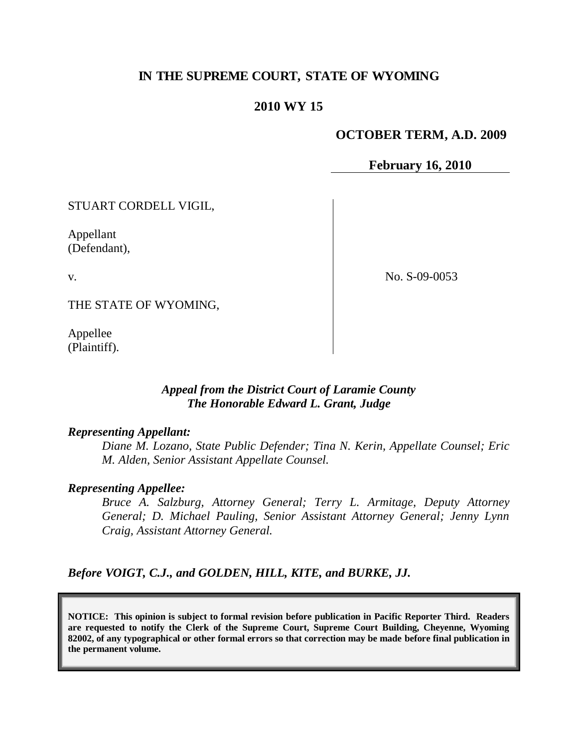# **IN THE SUPREME COURT, STATE OF WYOMING**

### **2010 WY 15**

#### **OCTOBER TERM, A.D. 2009**

**February 16, 2010**

STUART CORDELL VIGIL,

Appellant (Defendant),

v.

No. S-09-0053

THE STATE OF WYOMING,

Appellee (Plaintiff).

## *Appeal from the District Court of Laramie County The Honorable Edward L. Grant, Judge*

#### *Representing Appellant:*

*Diane M. Lozano, State Public Defender; Tina N. Kerin, Appellate Counsel; Eric M. Alden, Senior Assistant Appellate Counsel.*

#### *Representing Appellee:*

*Bruce A. Salzburg, Attorney General; Terry L. Armitage, Deputy Attorney General; D. Michael Pauling, Senior Assistant Attorney General; Jenny Lynn Craig, Assistant Attorney General.*

*Before VOIGT, C.J., and GOLDEN, HILL, KITE, and BURKE, JJ.*

**NOTICE: This opinion is subject to formal revision before publication in Pacific Reporter Third. Readers are requested to notify the Clerk of the Supreme Court, Supreme Court Building, Cheyenne, Wyoming 82002, of any typographical or other formal errors so that correction may be made before final publication in the permanent volume.**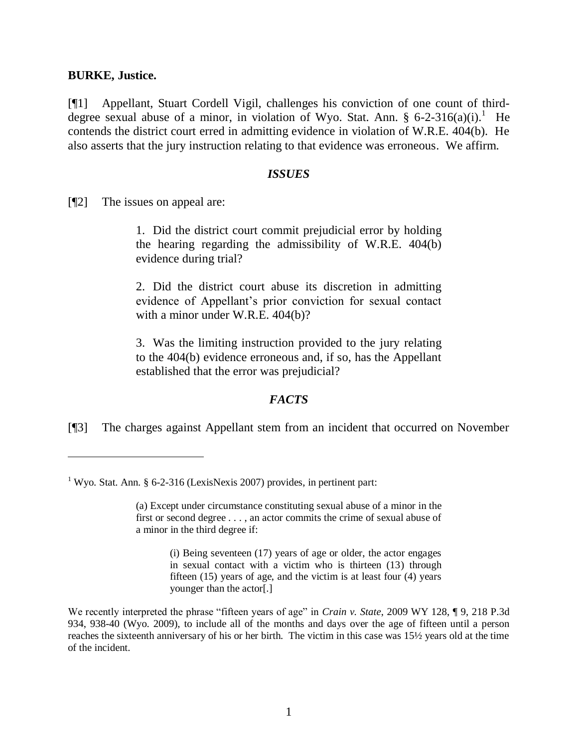#### **BURKE, Justice.**

 $\overline{a}$ 

[¶1] Appellant, Stuart Cordell Vigil, challenges his conviction of one count of thirddegree sexual abuse of a minor, in violation of Wyo. Stat. Ann. § 6-2-316(a)(i).<sup>1</sup> He contends the district court erred in admitting evidence in violation of W.R.E. 404(b). He also asserts that the jury instruction relating to that evidence was erroneous. We affirm.

#### *ISSUES*

[¶2] The issues on appeal are:

1. Did the district court commit prejudicial error by holding the hearing regarding the admissibility of W.R.E. 404(b) evidence during trial?

2. Did the district court abuse its discretion in admitting evidence of Appellant's prior conviction for sexual contact with a minor under W.R.E. 404(b)?

3. Was the limiting instruction provided to the jury relating to the 404(b) evidence erroneous and, if so, has the Appellant established that the error was prejudicial?

### *FACTS*

[¶3] The charges against Appellant stem from an incident that occurred on November

(i) Being seventeen (17) years of age or older, the actor engages in sexual contact with a victim who is thirteen (13) through fifteen (15) years of age, and the victim is at least four (4) years younger than the actor[.]

We recently interpreted the phrase "fifteen years of age" in *Crain v. State*, 2009 WY 128, ¶ 9, 218 P.3d 934, 938-40 (Wyo. 2009), to include all of the months and days over the age of fifteen until a person reaches the sixteenth anniversary of his or her birth. The victim in this case was 15½ years old at the time of the incident.

<sup>&</sup>lt;sup>1</sup> Wyo. Stat. Ann. § 6-2-316 (LexisNexis 2007) provides, in pertinent part:

<sup>(</sup>a) Except under circumstance constituting sexual abuse of a minor in the first or second degree . . . , an actor commits the crime of sexual abuse of a minor in the third degree if: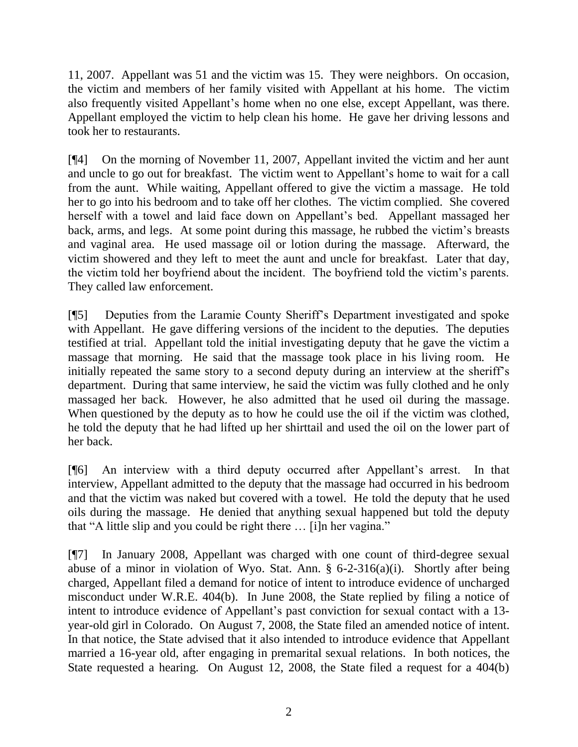11, 2007. Appellant was 51 and the victim was 15. They were neighbors. On occasion, the victim and members of her family visited with Appellant at his home. The victim also frequently visited Appellant's home when no one else, except Appellant, was there. Appellant employed the victim to help clean his home. He gave her driving lessons and took her to restaurants.

[¶4] On the morning of November 11, 2007, Appellant invited the victim and her aunt and uncle to go out for breakfast. The victim went to Appellant's home to wait for a call from the aunt. While waiting, Appellant offered to give the victim a massage. He told her to go into his bedroom and to take off her clothes. The victim complied. She covered herself with a towel and laid face down on Appellant's bed. Appellant massaged her back, arms, and legs. At some point during this massage, he rubbed the victim's breasts and vaginal area. He used massage oil or lotion during the massage. Afterward, the victim showered and they left to meet the aunt and uncle for breakfast. Later that day, the victim told her boyfriend about the incident. The boyfriend told the victim's parents. They called law enforcement.

[¶5] Deputies from the Laramie County Sheriff's Department investigated and spoke with Appellant. He gave differing versions of the incident to the deputies. The deputies testified at trial. Appellant told the initial investigating deputy that he gave the victim a massage that morning. He said that the massage took place in his living room. He initially repeated the same story to a second deputy during an interview at the sheriff's department. During that same interview, he said the victim was fully clothed and he only massaged her back. However, he also admitted that he used oil during the massage. When questioned by the deputy as to how he could use the oil if the victim was clothed, he told the deputy that he had lifted up her shirttail and used the oil on the lower part of her back.

[¶6] An interview with a third deputy occurred after Appellant's arrest. In that interview, Appellant admitted to the deputy that the massage had occurred in his bedroom and that the victim was naked but covered with a towel. He told the deputy that he used oils during the massage. He denied that anything sexual happened but told the deputy that "A little slip and you could be right there ... [i]n her vagina."

[¶7] In January 2008, Appellant was charged with one count of third-degree sexual abuse of a minor in violation of Wyo. Stat. Ann. § 6-2-316(a)(i). Shortly after being charged, Appellant filed a demand for notice of intent to introduce evidence of uncharged misconduct under W.R.E. 404(b). In June 2008, the State replied by filing a notice of intent to introduce evidence of Appellant's past conviction for sexual contact with a 13 year-old girl in Colorado. On August 7, 2008, the State filed an amended notice of intent. In that notice, the State advised that it also intended to introduce evidence that Appellant married a 16-year old, after engaging in premarital sexual relations. In both notices, the State requested a hearing. On August 12, 2008, the State filed a request for a 404(b)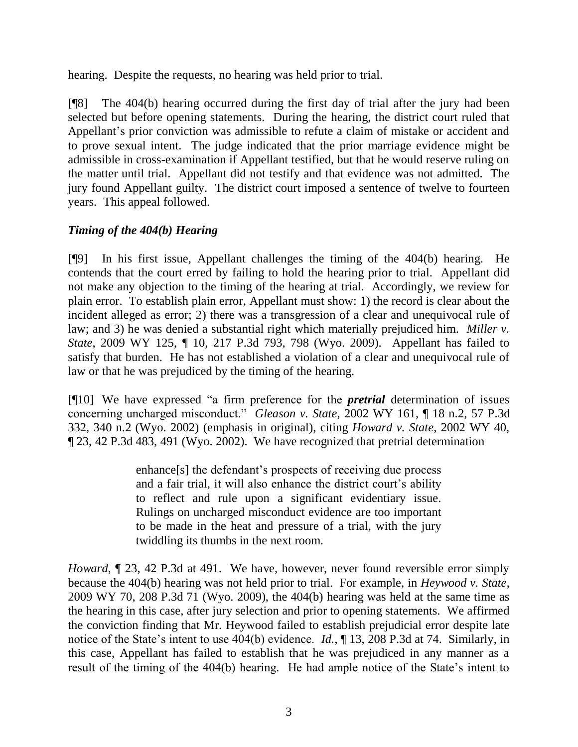hearing. Despite the requests, no hearing was held prior to trial.

[¶8] The 404(b) hearing occurred during the first day of trial after the jury had been selected but before opening statements. During the hearing, the district court ruled that Appellant's prior conviction was admissible to refute a claim of mistake or accident and to prove sexual intent. The judge indicated that the prior marriage evidence might be admissible in cross-examination if Appellant testified, but that he would reserve ruling on the matter until trial. Appellant did not testify and that evidence was not admitted. The jury found Appellant guilty. The district court imposed a sentence of twelve to fourteen years. This appeal followed.

# *Timing of the 404(b) Hearing*

[¶9] In his first issue, Appellant challenges the timing of the 404(b) hearing. He contends that the court erred by failing to hold the hearing prior to trial. Appellant did not make any objection to the timing of the hearing at trial. Accordingly, we review for plain error. To establish plain error, Appellant must show: 1) the record is clear about the incident alleged as error; 2) there was a transgression of a clear and unequivocal rule of law; and 3) he was denied a substantial right which materially prejudiced him. *Miller v. State*, 2009 WY 125, ¶ 10, 217 P.3d 793, 798 (Wyo. 2009). Appellant has failed to satisfy that burden. He has not established a violation of a clear and unequivocal rule of law or that he was prejudiced by the timing of the hearing.

[¶10] We have expressed "a firm preference for the *pretrial* determination of issues concerning uncharged misconduct.‖ *Gleason v. State*, 2002 WY 161, ¶ 18 n.2, 57 P.3d 332, 340 n.2 (Wyo. 2002) (emphasis in original), citing *Howard v. State*, 2002 WY 40, ¶ 23, 42 P.3d 483, 491 (Wyo. 2002). We have recognized that pretrial determination

> enhance[s] the defendant's prospects of receiving due process and a fair trial, it will also enhance the district court's ability to reflect and rule upon a significant evidentiary issue. Rulings on uncharged misconduct evidence are too important to be made in the heat and pressure of a trial, with the jury twiddling its thumbs in the next room.

*Howard*,  $\llbracket 23, 42 \rrbracket$  *P.3d at 491.* We have, however, never found reversible error simply because the 404(b) hearing was not held prior to trial. For example, in *Heywood v. State*, 2009 WY 70, 208 P.3d 71 (Wyo. 2009), the 404(b) hearing was held at the same time as the hearing in this case, after jury selection and prior to opening statements. We affirmed the conviction finding that Mr. Heywood failed to establish prejudicial error despite late notice of the State's intent to use 404(b) evidence. *Id.*, ¶ 13, 208 P.3d at 74. Similarly, in this case, Appellant has failed to establish that he was prejudiced in any manner as a result of the timing of the 404(b) hearing. He had ample notice of the State's intent to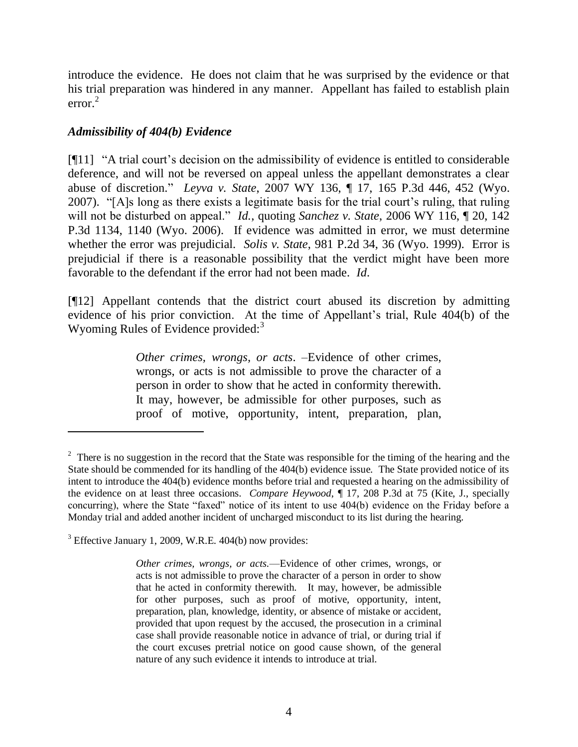introduce the evidence. He does not claim that he was surprised by the evidence or that his trial preparation was hindered in any manner. Appellant has failed to establish plain error. 2

## *Admissibility of 404(b) Evidence*

 $\overline{a}$ 

 $[911]$  "A trial court's decision on the admissibility of evidence is entitled to considerable deference, and will not be reversed on appeal unless the appellant demonstrates a clear abuse of discretion.‖ *Leyva v. State*, 2007 WY 136, ¶ 17, 165 P.3d 446, 452 (Wyo. 2007). "[A]s long as there exists a legitimate basis for the trial court's ruling, that ruling will not be disturbed on appeal." *Id.*, quoting *Sanchez v. State*, 2006 WY 116,  $\parallel$  20, 142 P.3d 1134, 1140 (Wyo. 2006). If evidence was admitted in error, we must determine whether the error was prejudicial. *Solis v. State*, 981 P.2d 34, 36 (Wyo. 1999). Error is prejudicial if there is a reasonable possibility that the verdict might have been more favorable to the defendant if the error had not been made. *Id*.

[¶12] Appellant contends that the district court abused its discretion by admitting evidence of his prior conviction. At the time of Appellant's trial, Rule 404(b) of the Wyoming Rules of Evidence provided:<sup>3</sup>

> *Other crimes, wrongs, or acts*. –Evidence of other crimes, wrongs, or acts is not admissible to prove the character of a person in order to show that he acted in conformity therewith. It may, however, be admissible for other purposes, such as proof of motive, opportunity, intent, preparation, plan,

 $2<sup>2</sup>$  There is no suggestion in the record that the State was responsible for the timing of the hearing and the State should be commended for its handling of the 404(b) evidence issue. The State provided notice of its intent to introduce the 404(b) evidence months before trial and requested a hearing on the admissibility of the evidence on at least three occasions. *Compare Heywood*, ¶ 17, 208 P.3d at 75 (Kite, J., specially concurring), where the State "faxed" notice of its intent to use 404(b) evidence on the Friday before a Monday trial and added another incident of uncharged misconduct to its list during the hearing.

<sup>3</sup> Effective January 1, 2009, W.R.E. 404(b) now provides:

*Other crimes, wrongs, or acts.*—Evidence of other crimes, wrongs, or acts is not admissible to prove the character of a person in order to show that he acted in conformity therewith. It may, however, be admissible for other purposes, such as proof of motive, opportunity, intent, preparation, plan, knowledge, identity, or absence of mistake or accident, provided that upon request by the accused, the prosecution in a criminal case shall provide reasonable notice in advance of trial, or during trial if the court excuses pretrial notice on good cause shown, of the general nature of any such evidence it intends to introduce at trial.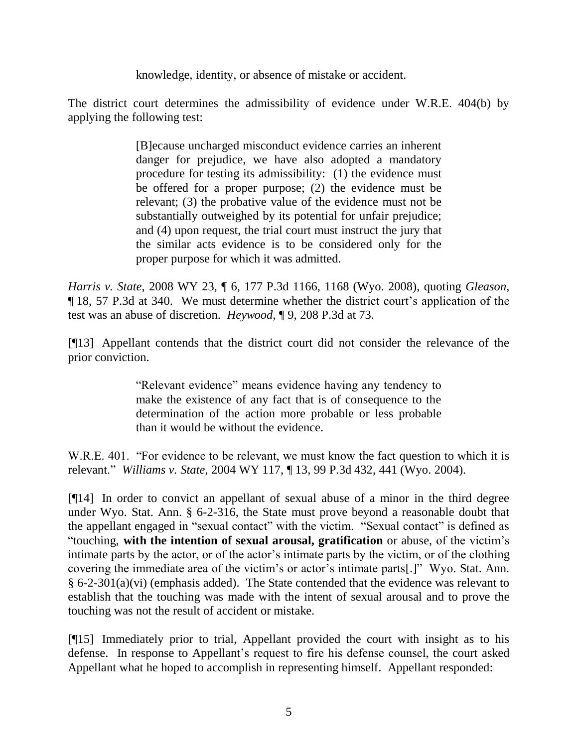knowledge, identity, or absence of mistake or accident.

The district court determines the admissibility of evidence under W.R.E. 404(b) by applying the following test:

> [B]ecause uncharged misconduct evidence carries an inherent danger for prejudice, we have also adopted a mandatory procedure for testing its admissibility: (1) the evidence must be offered for a proper purpose; (2) the evidence must be relevant; (3) the probative value of the evidence must not be substantially outweighed by its potential for unfair prejudice; and (4) upon request, the trial court must instruct the jury that the similar acts evidence is to be considered only for the proper purpose for which it was admitted.

*Harris v. State*, 2008 WY 23, ¶ 6, 177 P.3d 1166, 1168 (Wyo. 2008), quoting *Gleason*, ¶ 18, 57 P.3d at 340. We must determine whether the district court's application of the test was an abuse of discretion. *Heywood*, ¶ 9, 208 P.3d at 73.

[¶13] Appellant contends that the district court did not consider the relevance of the prior conviction.

> "Relevant evidence" means evidence having any tendency to make the existence of any fact that is of consequence to the determination of the action more probable or less probable than it would be without the evidence.

W.R.E. 401. "For evidence to be relevant, we must know the fact question to which it is relevant.‖ *Williams v. State*, 2004 WY 117, ¶ 13, 99 P.3d 432, 441 (Wyo. 2004).

[¶14] In order to convict an appellant of sexual abuse of a minor in the third degree under Wyo. Stat. Ann. § 6-2-316, the State must prove beyond a reasonable doubt that the appellant engaged in "sexual contact" with the victim. "Sexual contact" is defined as ―touching, **with the intention of sexual arousal, gratification** or abuse, of the victim's intimate parts by the actor, or of the actor's intimate parts by the victim, or of the clothing covering the immediate area of the victim's or actor's intimate parts[.]" Wyo. Stat. Ann. § 6-2-301(a)(vi) (emphasis added). The State contended that the evidence was relevant to establish that the touching was made with the intent of sexual arousal and to prove the touching was not the result of accident or mistake.

[¶15] Immediately prior to trial, Appellant provided the court with insight as to his defense. In response to Appellant's request to fire his defense counsel, the court asked Appellant what he hoped to accomplish in representing himself. Appellant responded: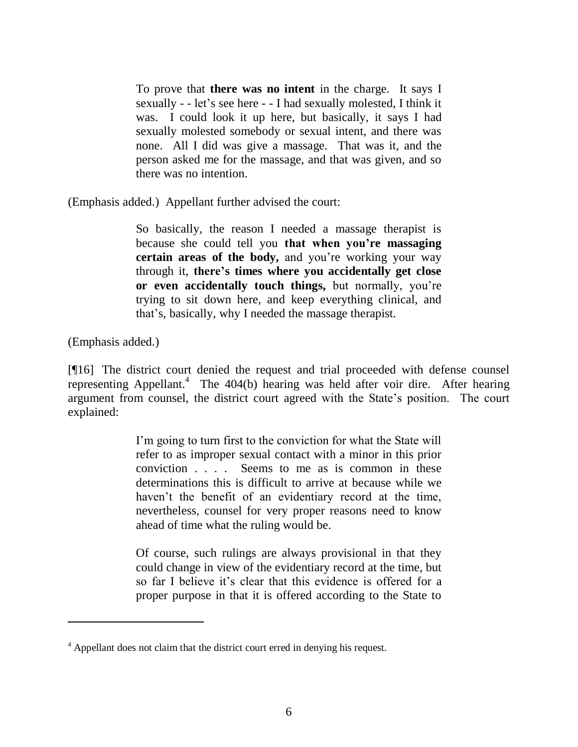To prove that **there was no intent** in the charge. It says I sexually - - let's see here - - I had sexually molested, I think it was. I could look it up here, but basically, it says I had sexually molested somebody or sexual intent, and there was none. All I did was give a massage. That was it, and the person asked me for the massage, and that was given, and so there was no intention.

(Emphasis added.) Appellant further advised the court:

So basically, the reason I needed a massage therapist is because she could tell you **that when you're massaging certain areas of the body,** and you're working your way through it, **there's times where you accidentally get close or even accidentally touch things,** but normally, you're trying to sit down here, and keep everything clinical, and that's, basically, why I needed the massage therapist.

(Emphasis added.)

[¶16] The district court denied the request and trial proceeded with defense counsel representing Appellant.<sup>4</sup> The 404(b) hearing was held after voir dire. After hearing argument from counsel, the district court agreed with the State's position. The court explained:

> I'm going to turn first to the conviction for what the State will refer to as improper sexual contact with a minor in this prior conviction . . . . Seems to me as is common in these determinations this is difficult to arrive at because while we haven't the benefit of an evidentiary record at the time, nevertheless, counsel for very proper reasons need to know ahead of time what the ruling would be.

> Of course, such rulings are always provisional in that they could change in view of the evidentiary record at the time, but so far I believe it's clear that this evidence is offered for a proper purpose in that it is offered according to the State to

<sup>&</sup>lt;sup>4</sup> Appellant does not claim that the district court erred in denying his request.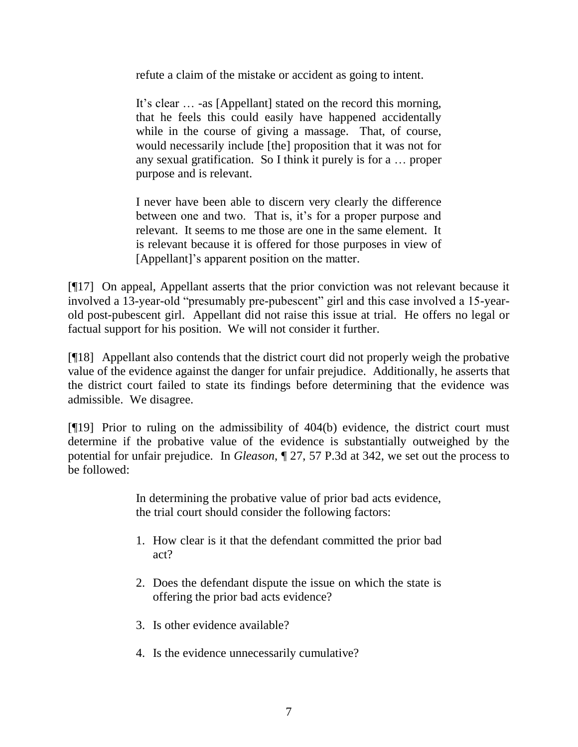refute a claim of the mistake or accident as going to intent.

It's clear … -as [Appellant] stated on the record this morning, that he feels this could easily have happened accidentally while in the course of giving a massage. That, of course, would necessarily include [the] proposition that it was not for any sexual gratification. So I think it purely is for a … proper purpose and is relevant.

I never have been able to discern very clearly the difference between one and two. That is, it's for a proper purpose and relevant. It seems to me those are one in the same element. It is relevant because it is offered for those purposes in view of [Appellant]'s apparent position on the matter.

[¶17] On appeal, Appellant asserts that the prior conviction was not relevant because it involved a 13-year-old "presumably pre-pubescent" girl and this case involved a 15-yearold post-pubescent girl. Appellant did not raise this issue at trial. He offers no legal or factual support for his position. We will not consider it further.

[¶18] Appellant also contends that the district court did not properly weigh the probative value of the evidence against the danger for unfair prejudice. Additionally, he asserts that the district court failed to state its findings before determining that the evidence was admissible. We disagree.

[¶19] Prior to ruling on the admissibility of 404(b) evidence, the district court must determine if the probative value of the evidence is substantially outweighed by the potential for unfair prejudice. In *Gleason*, ¶ 27, 57 P.3d at 342, we set out the process to be followed:

> In determining the probative value of prior bad acts evidence, the trial court should consider the following factors:

- 1. How clear is it that the defendant committed the prior bad act?
- 2. Does the defendant dispute the issue on which the state is offering the prior bad acts evidence?
- 3. Is other evidence available?
- 4. Is the evidence unnecessarily cumulative?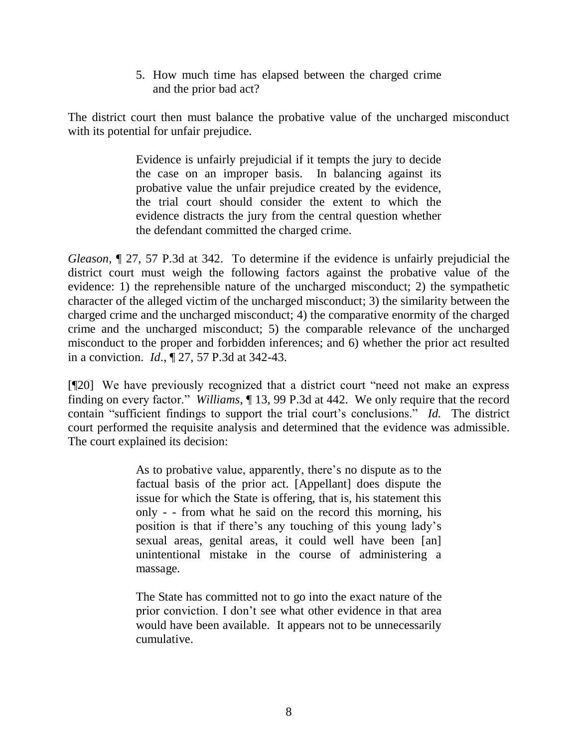5. How much time has elapsed between the charged crime and the prior bad act?

The district court then must balance the probative value of the uncharged misconduct with its potential for unfair prejudice.

> Evidence is unfairly prejudicial if it tempts the jury to decide the case on an improper basis. In balancing against its probative value the unfair prejudice created by the evidence, the trial court should consider the extent to which the evidence distracts the jury from the central question whether the defendant committed the charged crime.

*Gleason*, ¶ 27, 57 P.3d at 342. To determine if the evidence is unfairly prejudicial the district court must weigh the following factors against the probative value of the evidence: 1) the reprehensible nature of the uncharged misconduct; 2) the sympathetic character of the alleged victim of the uncharged misconduct; 3) the similarity between the charged crime and the uncharged misconduct; 4) the comparative enormity of the charged crime and the uncharged misconduct; 5) the comparable relevance of the uncharged misconduct to the proper and forbidden inferences; and 6) whether the prior act resulted in a conviction. *Id*., ¶ 27, 57 P.3d at 342-43.

[¶20] We have previously recognized that a district court "need not make an express finding on every factor." *Williams*,  $\P$  13, 99 P.3d at 442. We only require that the record contain "sufficient findings to support the trial court's conclusions." *Id.* The district court performed the requisite analysis and determined that the evidence was admissible. The court explained its decision:

> As to probative value, apparently, there's no dispute as to the factual basis of the prior act. [Appellant] does dispute the issue for which the State is offering, that is, his statement this only - - from what he said on the record this morning, his position is that if there's any touching of this young lady's sexual areas, genital areas, it could well have been [an] unintentional mistake in the course of administering a massage.

> The State has committed not to go into the exact nature of the prior conviction. I don't see what other evidence in that area would have been available. It appears not to be unnecessarily cumulative.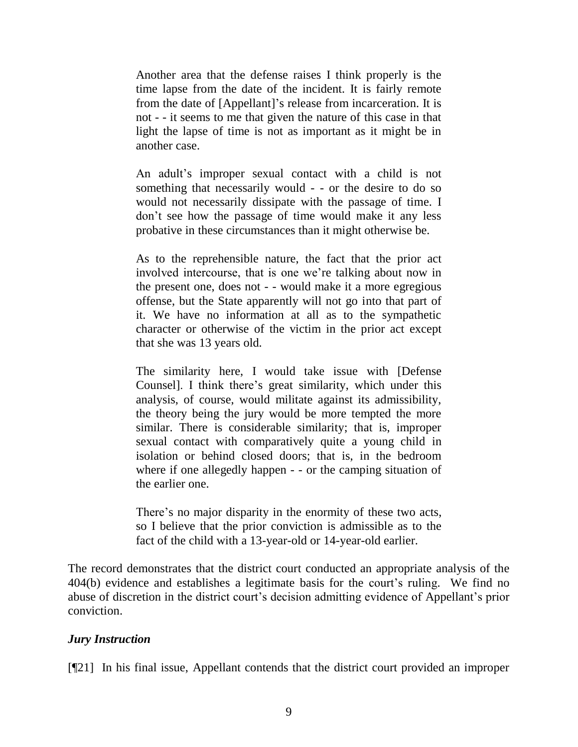Another area that the defense raises I think properly is the time lapse from the date of the incident. It is fairly remote from the date of [Appellant]'s release from incarceration. It is not - - it seems to me that given the nature of this case in that light the lapse of time is not as important as it might be in another case.

An adult's improper sexual contact with a child is not something that necessarily would - - or the desire to do so would not necessarily dissipate with the passage of time. I don't see how the passage of time would make it any less probative in these circumstances than it might otherwise be.

As to the reprehensible nature, the fact that the prior act involved intercourse, that is one we're talking about now in the present one, does not - - would make it a more egregious offense, but the State apparently will not go into that part of it. We have no information at all as to the sympathetic character or otherwise of the victim in the prior act except that she was 13 years old.

The similarity here, I would take issue with [Defense Counsel]. I think there's great similarity, which under this analysis, of course, would militate against its admissibility, the theory being the jury would be more tempted the more similar. There is considerable similarity; that is, improper sexual contact with comparatively quite a young child in isolation or behind closed doors; that is, in the bedroom where if one allegedly happen - - or the camping situation of the earlier one.

There's no major disparity in the enormity of these two acts, so I believe that the prior conviction is admissible as to the fact of the child with a 13-year-old or 14-year-old earlier.

The record demonstrates that the district court conducted an appropriate analysis of the 404(b) evidence and establishes a legitimate basis for the court's ruling. We find no abuse of discretion in the district court's decision admitting evidence of Appellant's prior conviction.

### *Jury Instruction*

[¶21] In his final issue, Appellant contends that the district court provided an improper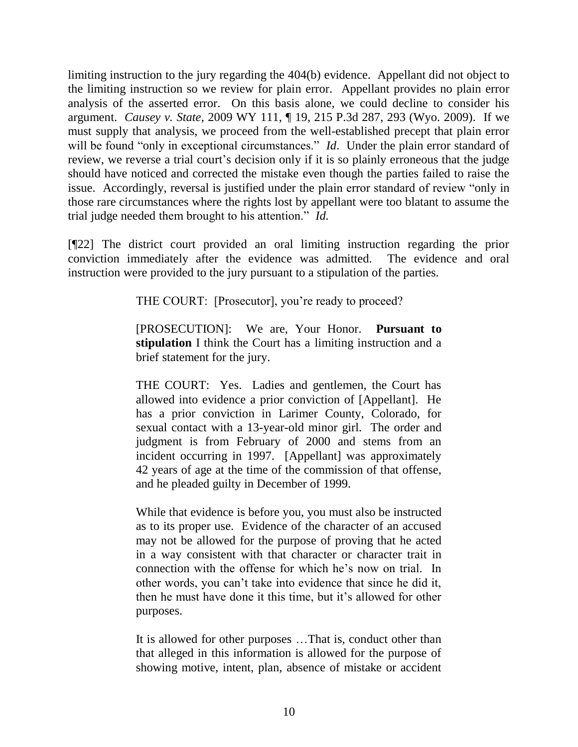limiting instruction to the jury regarding the 404(b) evidence. Appellant did not object to the limiting instruction so we review for plain error. Appellant provides no plain error analysis of the asserted error. On this basis alone, we could decline to consider his argument. *Causey v. State*, 2009 WY 111, ¶ 19, 215 P.3d 287, 293 (Wyo. 2009). If we must supply that analysis, we proceed from the well-established precept that plain error will be found "only in exceptional circumstances." *Id*. Under the plain error standard of review, we reverse a trial court's decision only if it is so plainly erroneous that the judge should have noticed and corrected the mistake even though the parties failed to raise the issue. Accordingly, reversal is justified under the plain error standard of review "only in those rare circumstances where the rights lost by appellant were too blatant to assume the trial judge needed them brought to his attention." *Id.* 

[¶22] The district court provided an oral limiting instruction regarding the prior conviction immediately after the evidence was admitted. The evidence and oral instruction were provided to the jury pursuant to a stipulation of the parties.

THE COURT: [Prosecutor], you're ready to proceed?

[PROSECUTION]: We are, Your Honor. **Pursuant to stipulation** I think the Court has a limiting instruction and a brief statement for the jury.

THE COURT: Yes. Ladies and gentlemen, the Court has allowed into evidence a prior conviction of [Appellant]. He has a prior conviction in Larimer County, Colorado, for sexual contact with a 13-year-old minor girl. The order and judgment is from February of 2000 and stems from an incident occurring in 1997. [Appellant] was approximately 42 years of age at the time of the commission of that offense, and he pleaded guilty in December of 1999.

While that evidence is before you, you must also be instructed as to its proper use. Evidence of the character of an accused may not be allowed for the purpose of proving that he acted in a way consistent with that character or character trait in connection with the offense for which he's now on trial. In other words, you can't take into evidence that since he did it, then he must have done it this time, but it's allowed for other purposes.

It is allowed for other purposes …That is, conduct other than that alleged in this information is allowed for the purpose of showing motive, intent, plan, absence of mistake or accident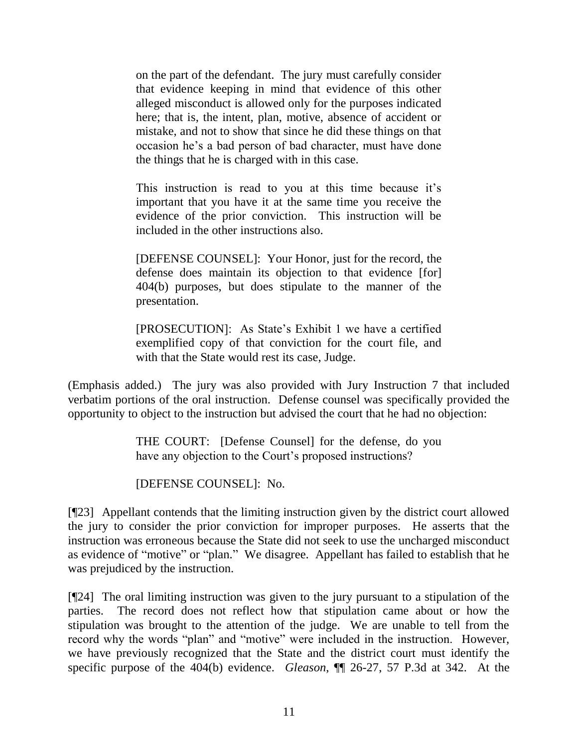on the part of the defendant. The jury must carefully consider that evidence keeping in mind that evidence of this other alleged misconduct is allowed only for the purposes indicated here; that is, the intent, plan, motive, absence of accident or mistake, and not to show that since he did these things on that occasion he's a bad person of bad character, must have done the things that he is charged with in this case.

This instruction is read to you at this time because it's important that you have it at the same time you receive the evidence of the prior conviction. This instruction will be included in the other instructions also.

[DEFENSE COUNSEL]: Your Honor, just for the record, the defense does maintain its objection to that evidence [for] 404(b) purposes, but does stipulate to the manner of the presentation.

[PROSECUTION]: As State's Exhibit 1 we have a certified exemplified copy of that conviction for the court file, and with that the State would rest its case, Judge.

(Emphasis added.) The jury was also provided with Jury Instruction 7 that included verbatim portions of the oral instruction. Defense counsel was specifically provided the opportunity to object to the instruction but advised the court that he had no objection:

> THE COURT: [Defense Counsel] for the defense, do you have any objection to the Court's proposed instructions?

[DEFENSE COUNSEL]: No.

[¶23] Appellant contends that the limiting instruction given by the district court allowed the jury to consider the prior conviction for improper purposes. He asserts that the instruction was erroneous because the State did not seek to use the uncharged misconduct as evidence of "motive" or "plan." We disagree. Appellant has failed to establish that he was prejudiced by the instruction.

[¶24] The oral limiting instruction was given to the jury pursuant to a stipulation of the parties. The record does not reflect how that stipulation came about or how the stipulation was brought to the attention of the judge. We are unable to tell from the record why the words "plan" and "motive" were included in the instruction. However, we have previously recognized that the State and the district court must identify the specific purpose of the 404(b) evidence. *Gleason*, ¶¶ 26-27, 57 P.3d at 342. At the